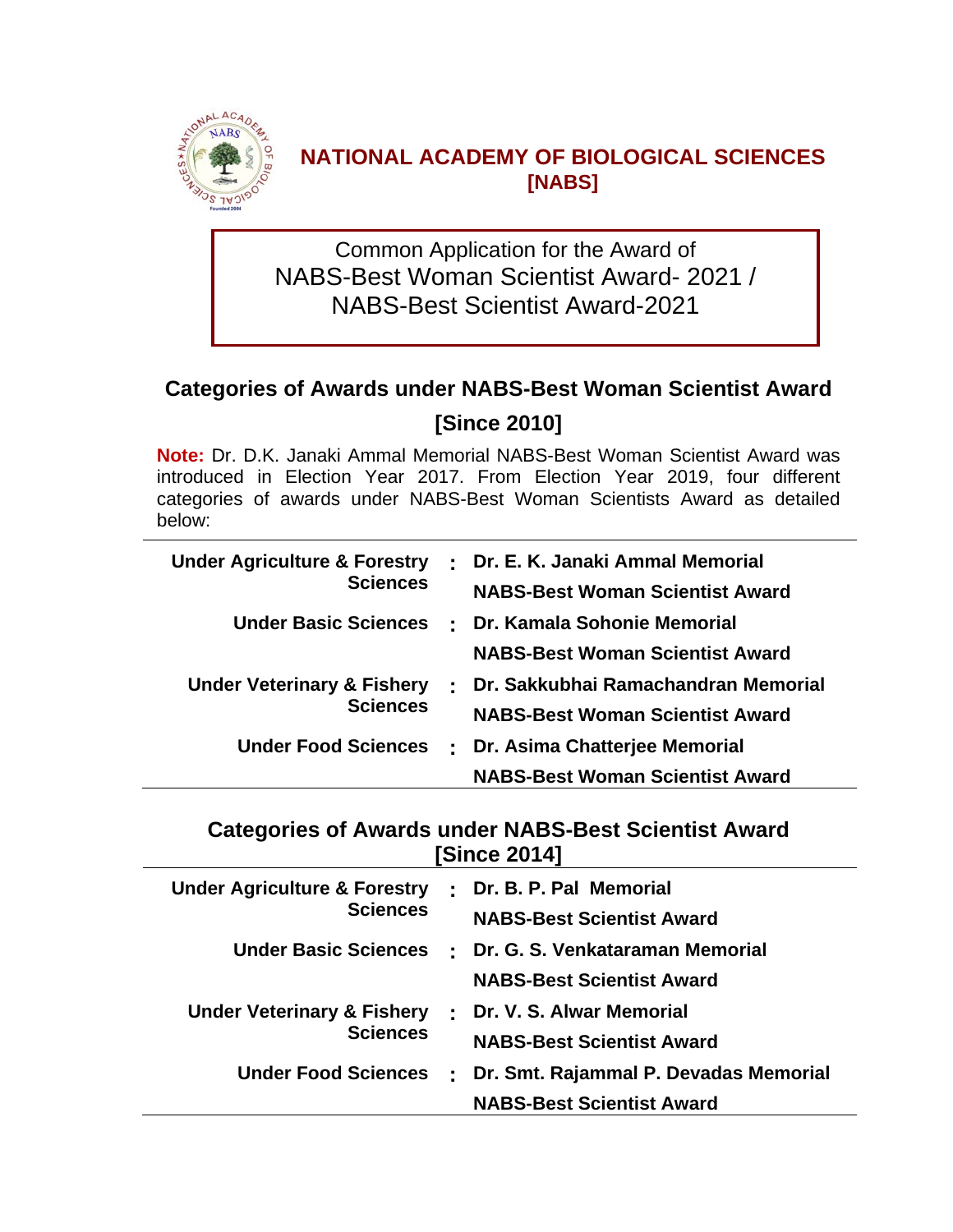

### **NATIONAL ACADEMY OF BIOLOGICAL SCIENCES [NABS]**

Common Application for the Award of NABS-Best Woman Scientist Award- 2021 / NABS-Best Scientist Award-2021

# **Categories of Awards under NABS-Best Woman Scientist Award [Since 2010]**

**Note:** Dr. D.K. Janaki Ammal Memorial NABS-Best Woman Scientist Award was introduced in Election Year 2017. From Election Year 2019, four different categories of awards under NABS-Best Woman Scientists Award as detailed below:

| <b>Under Agriculture &amp; Forestry</b> |  | : Dr. E. K. Janaki Ammal Memorial      |
|-----------------------------------------|--|----------------------------------------|
| <b>Sciences</b>                         |  | <b>NABS-Best Woman Scientist Award</b> |
| <b>Under Basic Sciences</b>             |  | : Dr. Kamala Sohonie Memorial          |
|                                         |  | <b>NABS-Best Woman Scientist Award</b> |
| <b>Under Veterinary &amp; Fishery</b>   |  | : Dr. Sakkubhai Ramachandran Memorial  |
| <b>Sciences</b>                         |  | <b>NABS-Best Woman Scientist Award</b> |
| <b>Under Food Sciences</b>              |  | : Dr. Asima Chatterjee Memorial        |
|                                         |  | <b>NABS-Best Woman Scientist Award</b> |

### **Categories of Awards under NABS-Best Scientist Award [Since 2014]**

| <b>Under Agriculture &amp; Forestry</b> |                           | Dr. B. P. Pal Memorial                |
|-----------------------------------------|---------------------------|---------------------------------------|
| <b>Sciences</b>                         |                           | <b>NABS-Best Scientist Award</b>      |
| <b>Under Basic Sciences</b>             |                           | : Dr. G. S. Venkataraman Memorial     |
|                                         |                           | <b>NABS-Best Scientist Award</b>      |
| <b>Under Veterinary &amp; Fishery</b>   | $\overline{\mathbb{Z}}$ . | Dr. V. S. Alwar Memorial              |
| <b>Sciences</b>                         |                           | <b>NABS-Best Scientist Award</b>      |
| <b>Under Food Sciences</b>              |                           | Dr. Smt. Rajammal P. Devadas Memorial |
|                                         |                           | <b>NABS-Best Scientist Award</b>      |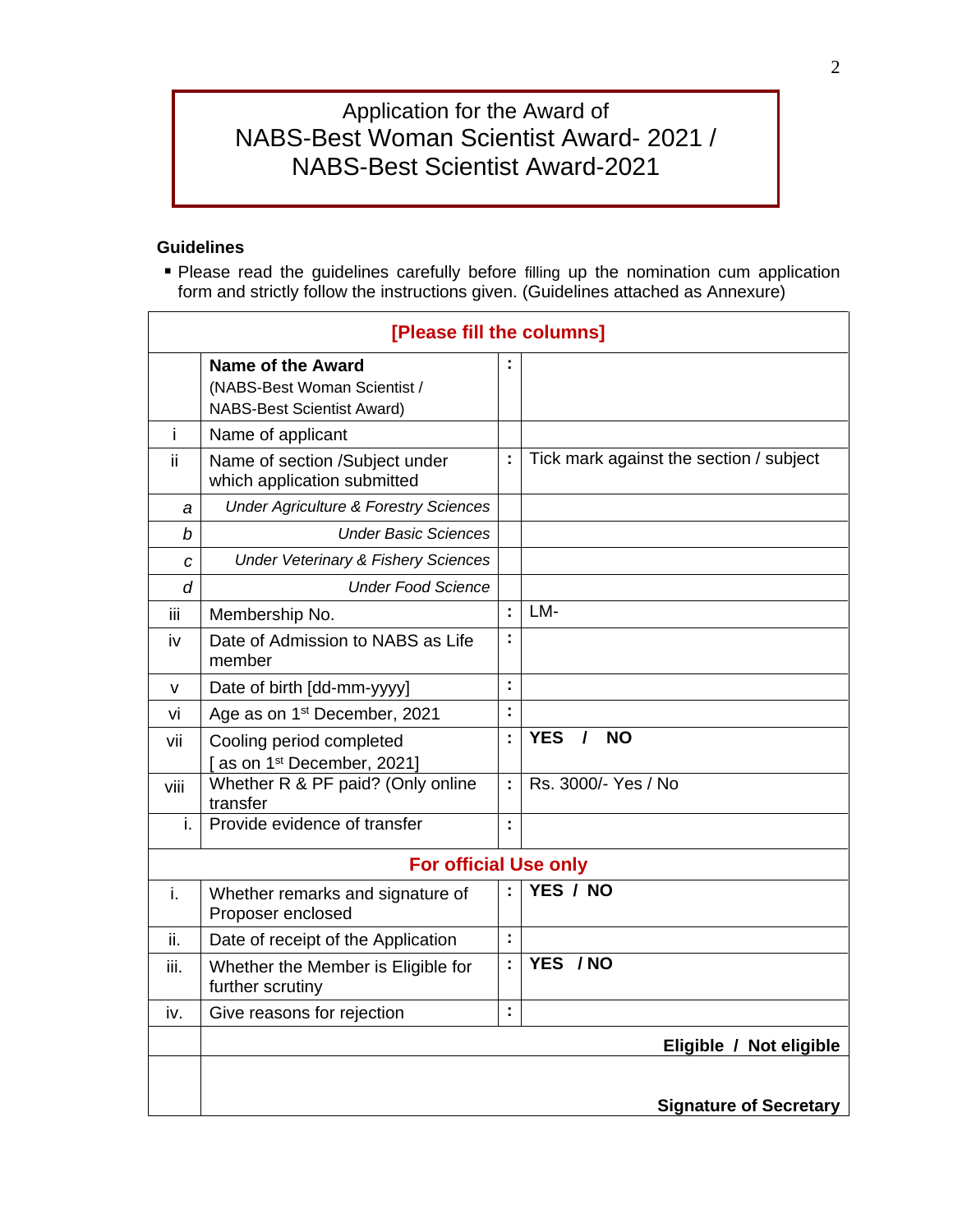## Application for the Award of NABS-Best Woman Scientist Award- 2021 / NABS-Best Scientist Award-2021

#### **Guidelines**

 Please read the guidelines carefully before filling up the nomination cum application form and strictly follow the instructions given. (Guidelines attached as Annexure)

|      | [Please fill the columns]                                                                     |                      |                                         |  |  |  |  |
|------|-----------------------------------------------------------------------------------------------|----------------------|-----------------------------------------|--|--|--|--|
|      | <b>Name of the Award</b><br>(NABS-Best Woman Scientist /<br><b>NABS-Best Scientist Award)</b> |                      |                                         |  |  |  |  |
| i    | Name of applicant                                                                             |                      |                                         |  |  |  |  |
| ii.  | Name of section /Subject under<br>which application submitted                                 | ÷                    | Tick mark against the section / subject |  |  |  |  |
| a    | <b>Under Agriculture &amp; Forestry Sciences</b>                                              |                      |                                         |  |  |  |  |
| b    | <b>Under Basic Sciences</b>                                                                   |                      |                                         |  |  |  |  |
| C    | <b>Under Veterinary &amp; Fishery Sciences</b>                                                |                      |                                         |  |  |  |  |
| d    | <b>Under Food Science</b>                                                                     |                      |                                         |  |  |  |  |
| iii  | Membership No.                                                                                | ÷                    | LM-                                     |  |  |  |  |
| iv   | Date of Admission to NABS as Life<br>member                                                   | ÷                    |                                         |  |  |  |  |
| v    | Date of birth [dd-mm-yyyy]                                                                    | t                    |                                         |  |  |  |  |
| vi   | Age as on 1 <sup>st</sup> December, 2021                                                      | $\ddot{\phantom{a}}$ |                                         |  |  |  |  |
| vii  | Cooling period completed<br>as on 1 <sup>st</sup> December, 2021]                             | t                    | <b>YES</b><br><b>NO</b><br>$\prime$     |  |  |  |  |
| viii | Whether R & PF paid? (Only online<br>transfer                                                 | ÷                    | Rs. 3000/- Yes / No                     |  |  |  |  |
| i.   | Provide evidence of transfer                                                                  | ċ                    |                                         |  |  |  |  |
|      | <b>For official Use only</b>                                                                  |                      |                                         |  |  |  |  |
| i.   | Whether remarks and signature of<br>Proposer enclosed                                         | t                    | YES / NO                                |  |  |  |  |
| ii.  | Date of receipt of the Application                                                            | t,                   |                                         |  |  |  |  |
| iii. | Whether the Member is Eligible for<br>further scrutiny                                        | $\ddot{\phantom{a}}$ | YES / NO                                |  |  |  |  |
| iv.  | Give reasons for rejection                                                                    | ċ                    |                                         |  |  |  |  |
|      |                                                                                               |                      | Eligible / Not eligible                 |  |  |  |  |
|      |                                                                                               |                      |                                         |  |  |  |  |
|      |                                                                                               |                      | <b>Signature of Secretary</b>           |  |  |  |  |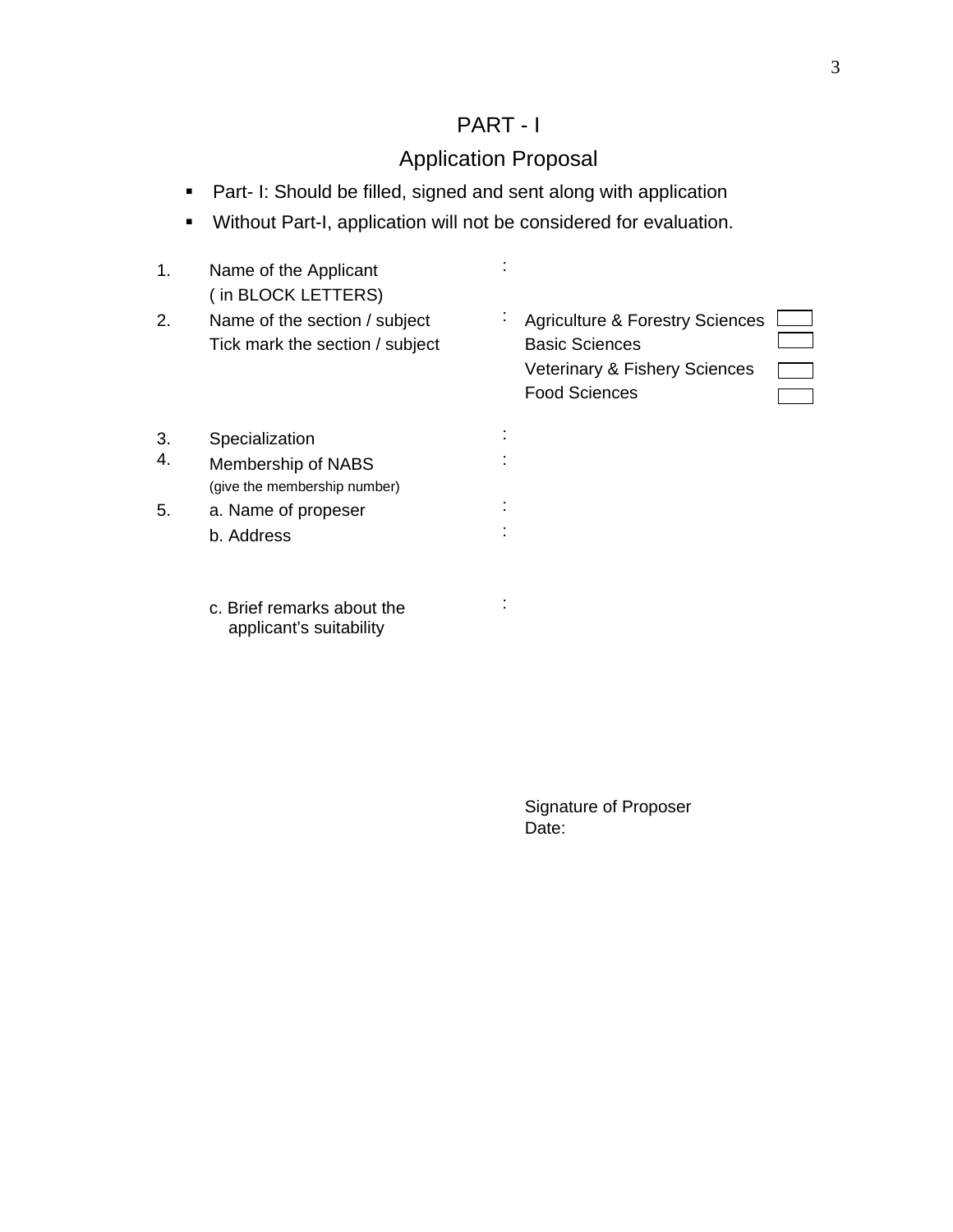# PART - I

# Application Proposal

- **Part- I: Should be filled, signed and sent along with application**
- Without Part-I, application will not be considered for evaluation.

| 1. | Name of the Applicant<br>(in BLOCK LETTERS)                      |                                                                                                                              |
|----|------------------------------------------------------------------|------------------------------------------------------------------------------------------------------------------------------|
| 2. | Name of the section / subject<br>Tick mark the section / subject | <b>Agriculture &amp; Forestry Sciences</b><br><b>Basic Sciences</b><br>Veterinary & Fishery Sciences<br><b>Food Sciences</b> |
| 3. | Specialization                                                   |                                                                                                                              |
| 4. | Membership of NABS<br>(give the membership number)               |                                                                                                                              |
| 5. | a. Name of propeser                                              |                                                                                                                              |
|    | b. Address                                                       |                                                                                                                              |
|    | c. Brief remarks about the<br>applicant's suitability            |                                                                                                                              |
|    |                                                                  |                                                                                                                              |
|    |                                                                  | <b>Signature of Proposer</b>                                                                                                 |
|    |                                                                  | Date:                                                                                                                        |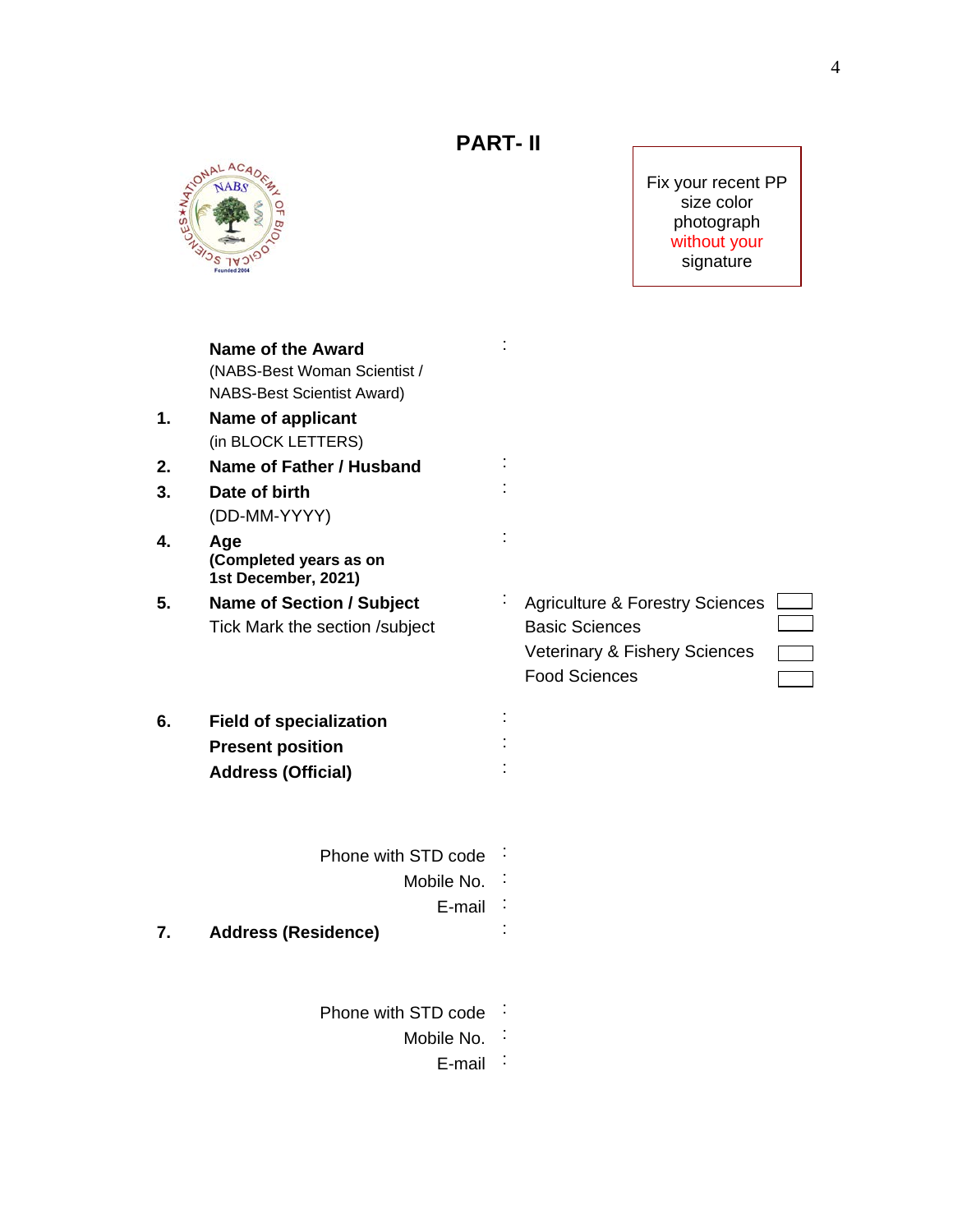

Fix your recent PP size color photograph without your signature

|    | <b>Name of the Award</b>                      |                                            |
|----|-----------------------------------------------|--------------------------------------------|
|    | (NABS-Best Woman Scientist /                  |                                            |
|    | <b>NABS-Best Scientist Award)</b>             |                                            |
| 1. | <b>Name of applicant</b>                      |                                            |
|    | (in BLOCK LETTERS)                            |                                            |
| 2. | Name of Father / Husband                      |                                            |
| 3. | Date of birth                                 |                                            |
|    | (DD-MM-YYYY)                                  |                                            |
| 4. | Age                                           |                                            |
|    | (Completed years as on<br>1st December, 2021) |                                            |
| 5. | <b>Name of Section / Subject</b>              | <b>Agriculture &amp; Forestry Sciences</b> |
|    | Tick Mark the section /subject                | <b>Basic Sciences</b>                      |
|    |                                               | Veterinary & Fishery Sciences              |
|    |                                               | <b>Food Sciences</b>                       |
| 6. | <b>Field of specialization</b>                |                                            |
|    | <b>Present position</b>                       |                                            |
|    | <b>Address (Official)</b>                     |                                            |
|    |                                               |                                            |
|    | Phone with STD code                           |                                            |
|    | Mobile No.                                    |                                            |
|    | E-mail                                        |                                            |
| 7. | <b>Address (Residence)</b>                    |                                            |
|    |                                               |                                            |
|    | Phone with STD code                           |                                            |
|    | Mobile No.                                    |                                            |
|    | E-mail                                        |                                            |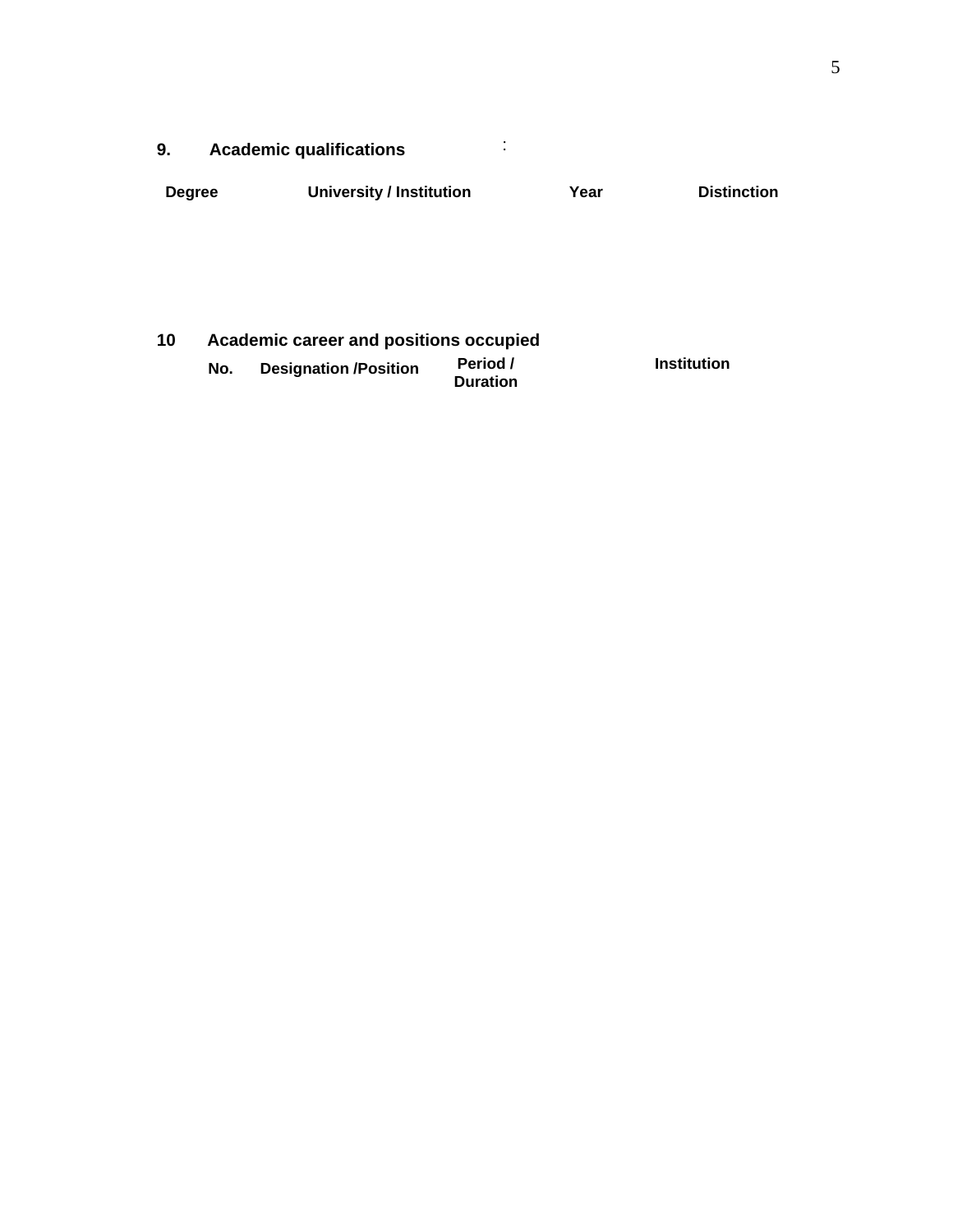| ----- |  |  |
|-------|--|--|
| אווני |  |  |
|       |  |  |
|       |  |  |

| Degree | <b>University / Institution</b> | Year | <b>Distinction</b> |
|--------|---------------------------------|------|--------------------|
|        |                                 |      |                    |
|        |                                 |      |                    |
|        |                                 |      |                    |
|        |                                 |      |                    |

| 10 |     | Academic career and positions occupied |                             |             |  |  |  |  |  |  |
|----|-----|----------------------------------------|-----------------------------|-------------|--|--|--|--|--|--|
|    | No. | <b>Designation /Position</b>           | Period /<br><b>Duration</b> | Institution |  |  |  |  |  |  |
|    |     |                                        |                             |             |  |  |  |  |  |  |
|    |     |                                        |                             |             |  |  |  |  |  |  |
|    |     |                                        |                             |             |  |  |  |  |  |  |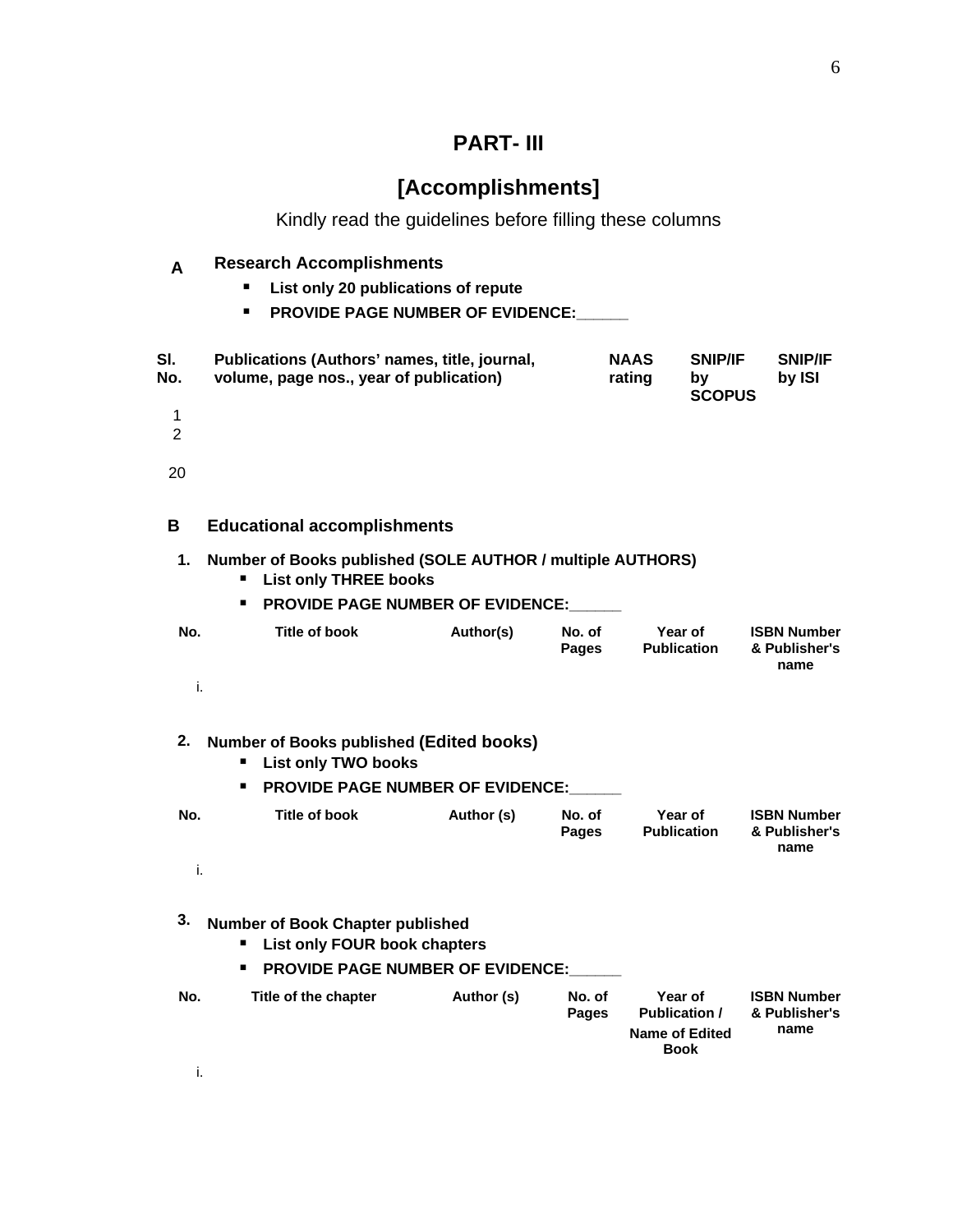# **PART- III**

# **[Accomplishments]**

Kindly read the guidelines before filling these columns

|  | <b>Research Accomplishments</b>         |  |
|--|-----------------------------------------|--|
|  | List only 20 publications of repute     |  |
|  | <b>PROVIDE PAGE NUMBER OF EVIDENCE:</b> |  |

| ∶ SI.<br>: No. | Publications (Authors' names, title, journal,<br>volume, page nos., year of publication) | <b>NAAS</b><br>rating | $\pm$ SNIP/IF<br><b>SCOPUS</b> | <b>SNIP/IF</b><br>by ISI |
|----------------|------------------------------------------------------------------------------------------|-----------------------|--------------------------------|--------------------------|
|                |                                                                                          |                       |                                |                          |
|                |                                                                                          |                       |                                |                          |
|                |                                                                                          |                       |                                |                          |
|                |                                                                                          |                       |                                |                          |

| в   | <b>Educational accomplishments</b>                                                                                                    |           |                        |                               |                                             |  |  |
|-----|---------------------------------------------------------------------------------------------------------------------------------------|-----------|------------------------|-------------------------------|---------------------------------------------|--|--|
|     | Number of Books published (SOLE AUTHOR / multiple AUTHORS)<br><b>List only THREE books</b><br><b>PROVIDE PAGE NUMBER OF EVIDENCE:</b> |           |                        |                               |                                             |  |  |
| No. | Title of book                                                                                                                         | Author(s) | No. of<br><b>Pages</b> | Year of<br><b>Publication</b> | <b>ISBN Number</b><br>& Publisher's<br>name |  |  |
|     |                                                                                                                                       |           |                        |                               |                                             |  |  |

| 2. Number of Books published (Edited books)<br><b>List only TWO books</b><br><b>PROVIDE PAGE NUMBER OF EVIDENCE:</b> |               |            |                 |                               |                                             |  |  |  |
|----------------------------------------------------------------------------------------------------------------------|---------------|------------|-----------------|-------------------------------|---------------------------------------------|--|--|--|
| No.                                                                                                                  | Title of book | Author (s) | No. of<br>Pages | Year of<br><b>Publication</b> | <b>ISBN Number</b><br>& Publisher's<br>name |  |  |  |
|                                                                                                                      |               |            |                 |                               |                                             |  |  |  |

| 3.  | <b>Number of Book Chapter published</b><br>List only FOUR book chapters<br><b>PROVIDE PAGE NUMBER OF EVIDENCE:</b><br>٠ |            |                 |                                                                         |                                             |
|-----|-------------------------------------------------------------------------------------------------------------------------|------------|-----------------|-------------------------------------------------------------------------|---------------------------------------------|
| No. | Title of the chapter                                                                                                    | Author (s) | No. of<br>Pages | Year of<br><b>Publication /</b><br><b>Name of Edited</b><br><b>Book</b> | <b>ISBN Number</b><br>& Publisher's<br>name |
|     |                                                                                                                         |            |                 |                                                                         |                                             |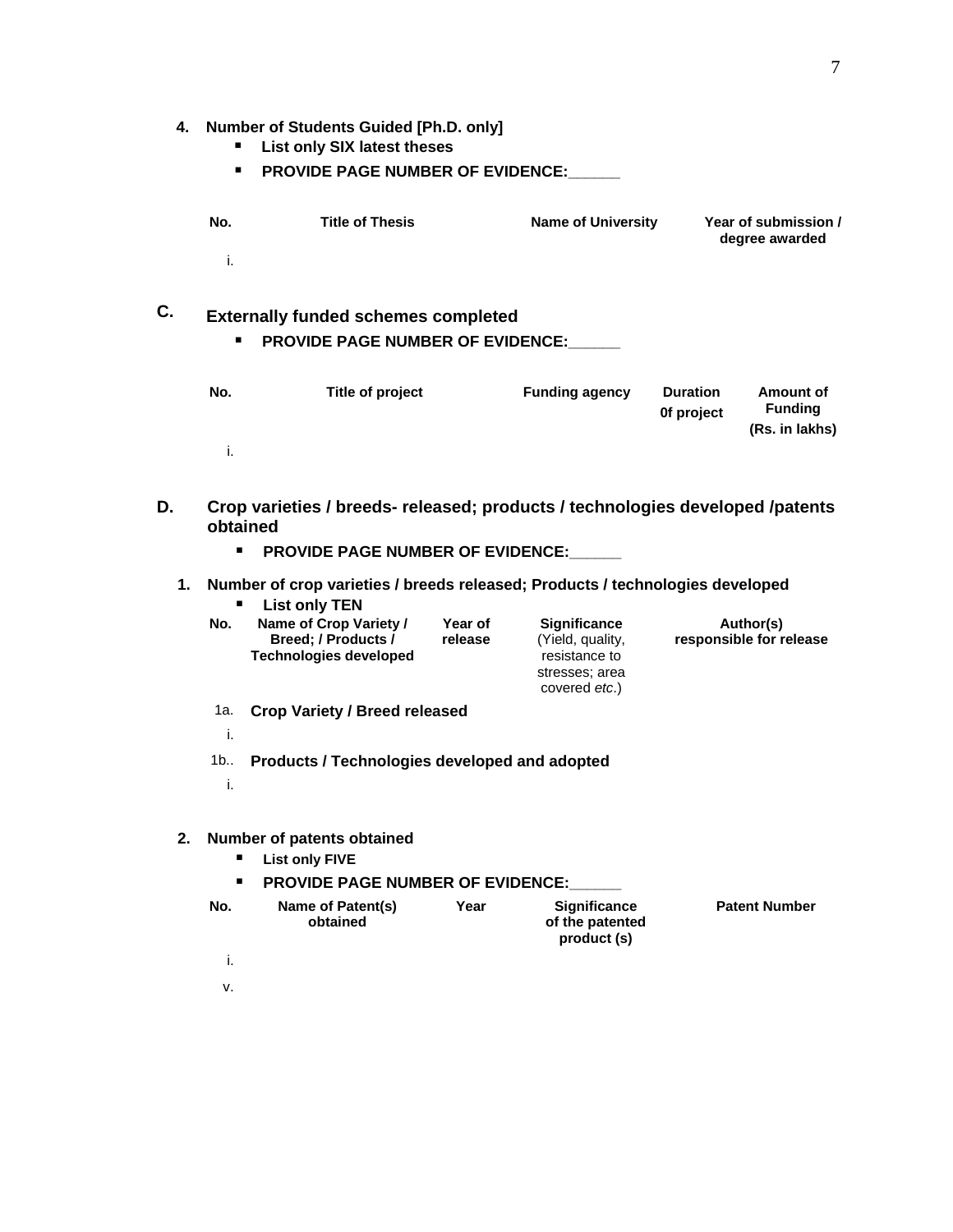### **4. Number of Students Guided [Ph.D. only]**

- **List only SIX latest theses**
- **PROVIDE PAGE NUMBER OF EVIDENCE:**

| No | <b>Title of Thesis</b> | <b>Name of University</b> | Year of submission /<br>degree awarded |
|----|------------------------|---------------------------|----------------------------------------|
|    |                        |                           |                                        |

# **C. Externally funded schemes completed PROVIDE PAGE NUMBER OF EVIDENCE:\_\_\_\_\_\_**

| No. | Title of project | <b>Funding agency</b> | <b>Duration</b><br>Of project | Amount of<br><b>Funding</b><br>(Rs. in lakhs) |
|-----|------------------|-----------------------|-------------------------------|-----------------------------------------------|
|     |                  |                       |                               |                                               |

| D. | obtained                            | Crop varieties / breeds- released; products / technologies developed /patents<br><b>PROVIDE PAGE NUMBER OF EVIDENCE:</b> |                    |                                                                                                     |                                      |  |
|----|-------------------------------------|--------------------------------------------------------------------------------------------------------------------------|--------------------|-----------------------------------------------------------------------------------------------------|--------------------------------------|--|
|    |                                     | 1. Number of crop varieties / breeds released; Products / technologies developed<br><b>List only TEN</b>                 |                    |                                                                                                     |                                      |  |
|    | No. i                               | Name of Crop Variety /<br>Breed: / Products /<br><b>Technologies developed</b>                                           | Year of<br>release | <b>Significance</b><br>(Yield, quality,<br>resistance to<br>stresses; area<br>covered <i>etc</i> .) | Author(s)<br>responsible for release |  |
|    | 1a.   Crop Variety / Breed released |                                                                                                                          |                    |                                                                                                     |                                      |  |
|    |                                     |                                                                                                                          |                    |                                                                                                     |                                      |  |
|    |                                     | 1b. : Products / Technologies developed and adopted                                                                      |                    |                                                                                                     |                                      |  |
|    |                                     |                                                                                                                          |                    |                                                                                                     |                                      |  |

| п<br>п | 2. Number of patents obtained<br><b>List only FIVE</b><br><b>PROVIDE PAGE NUMBER OF EVIDENCE:</b> |      |                                                |                      |
|--------|---------------------------------------------------------------------------------------------------|------|------------------------------------------------|----------------------|
| No.    | Name of Patent(s)<br>obtained                                                                     | Year | Significance<br>of the patented<br>product (s) | <b>Patent Number</b> |
|        |                                                                                                   |      |                                                |                      |
| v.     |                                                                                                   |      |                                                |                      |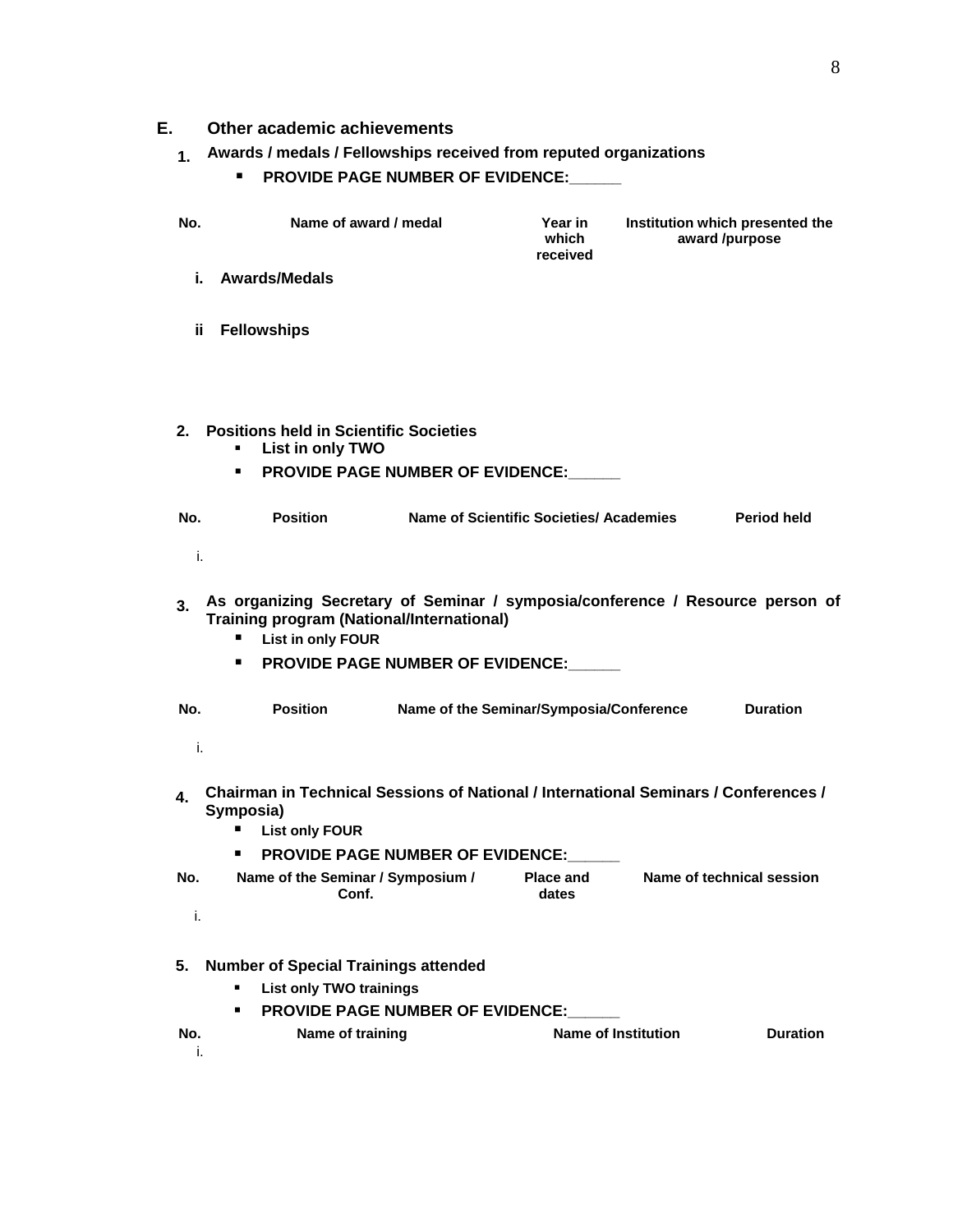| Other academic achievements                                         |  |  |
|---------------------------------------------------------------------|--|--|
| 1 Awards / medals / Fellowships received from reputed organizations |  |  |
| ■ PROVIDE PAGE NUMBER OF EVIDENCE:                                  |  |  |
|                                                                     |  |  |

| No. | Name of award / medal | Year in<br>which<br>received | Institution which presented the<br>award /purpose |
|-----|-----------------------|------------------------------|---------------------------------------------------|
|     | i. : Awards/Medals    |                              |                                                   |
|     |                       |                              |                                                   |
|     | ii Fellowships        |                              |                                                   |
|     |                       |                              |                                                   |

|  | 2. Positions held in Scientific Societies<br>• List in only TWO |  |
|--|-----------------------------------------------------------------|--|
|  | <b>PROVIDE PAGE NUMBER OF EVIDENCE:</b>                         |  |

| No. | Position | Name of Scientific Societies/ Academies | Period held |
|-----|----------|-----------------------------------------|-------------|
|     |          |                                         |             |

| 3. As organizing Secretary of Seminar / symposia/conference / Resource person of<br>Training program (National/International) |
|-------------------------------------------------------------------------------------------------------------------------------|
| ■ List in only FOUR                                                                                                           |

**PROVIDE PAGE NUMBER OF EVIDENCE:\_\_\_\_\_\_**

| ∶ No. | <b>Position</b> | Name of the Seminar/Symposia/Conference | <b>Duration</b> |
|-------|-----------------|-----------------------------------------|-----------------|
|       |                 |                                         |                 |

|     | <b>Chairman in Technical Sessions of National / International Seminars / Conferences /</b><br>Symposia) |                    |                           |
|-----|---------------------------------------------------------------------------------------------------------|--------------------|---------------------------|
|     | <b>List only FOUR</b>                                                                                   |                    |                           |
|     | <b>PROVIDE PAGE NUMBER OF EVIDENCE:</b><br>л.                                                           |                    |                           |
| No. | Name of the Seminar / Symposium /<br><b>∩ิ</b> ∩nf                                                      | Place and<br>dates | Name of technical session |
|     |                                                                                                         |                    |                           |

| 5. Number of Special Trainings attended |                                |                                         |                  |                            |  |  |
|-----------------------------------------|--------------------------------|-----------------------------------------|------------------|----------------------------|--|--|
|                                         | <b>List only TWO trainings</b> |                                         |                  |                            |  |  |
|                                         |                                | <b>PROVIDE PAGE NUMBER OF EVIDENCE:</b> |                  |                            |  |  |
|                                         |                                |                                         | Name of training | <b>Name of Institution</b> |  |  |
|                                         |                                |                                         |                  |                            |  |  |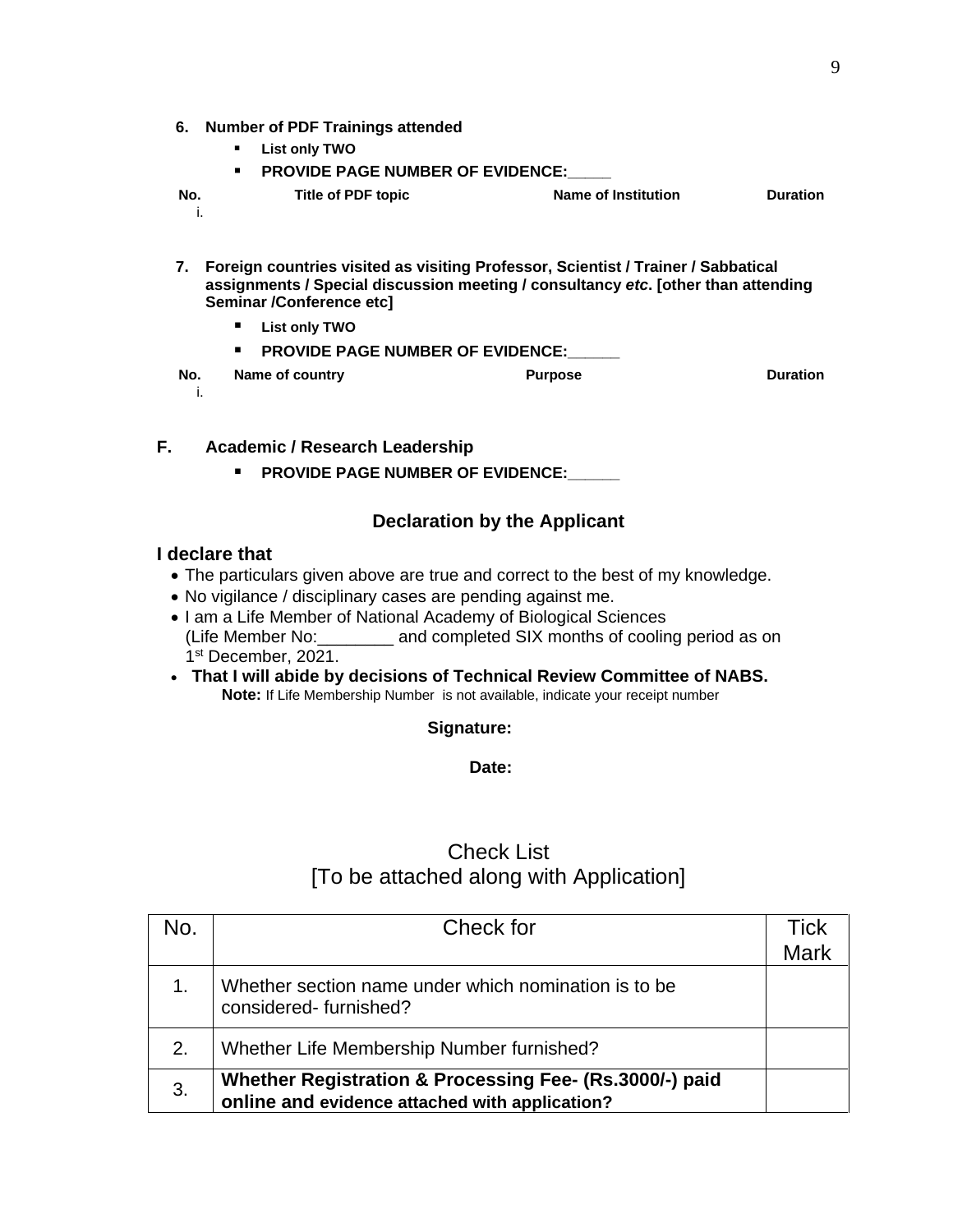|                                                           | 6. Number of PDF Trainings attended |  |                    |                     |  |
|-----------------------------------------------------------|-------------------------------------|--|--------------------|---------------------|--|
|                                                           |                                     |  | List only TWO      |                     |  |
| <b>PROVIDE PAGE NUMBER OF EVIDENCE:</b><br>$\blacksquare$ |                                     |  |                    |                     |  |
|                                                           |                                     |  | Title of PDF topic | Name of Institution |  |
|                                                           |                                     |  |                    |                     |  |

**7. Foreign countries visited as visiting Professor, Scientist / Trainer / Sabbatical assignments / Special discussion meeting / consultancy** *etc***. [other than attending Seminar /Conference etc] List only TWO PROVIDE PAGE NUMBER OF EVIDENCE: No. Name of country Purpose Duration** i.

| <b>Academic / Research Leadership</b> |  |
|---------------------------------------|--|
| ■ PROVIDE PAGE NUMBER OF EVIDENCE:    |  |

### **Declaration by the Applicant**

#### **I declare that**

- The particulars given above are true and correct to the best of my knowledge.
- No vigilance / disciplinary cases are pending against me.
- I am a Life Member of National Academy of Biological Sciences (Life Member No:\_\_\_\_\_\_\_\_ and completed SIX months of cooling period as on 1st December, 2021.
- **That I will abide by decisions of Technical Review Committee of NABS. Note:** If Life Membership Number is not available, indicate your receipt number

#### **Signature:**

**Date:**

### Check List [To be attached along with Application]

| NO. | Check for                                                                                                 | Tick<br>Mark |
|-----|-----------------------------------------------------------------------------------------------------------|--------------|
|     | Whether section name under which nomination is to be<br>considered-furnished?                             |              |
| 2.  | Whether Life Membership Number furnished?                                                                 |              |
| 3.  | Whether Registration & Processing Fee- (Rs.3000/-) paid<br>online and evidence attached with application? |              |